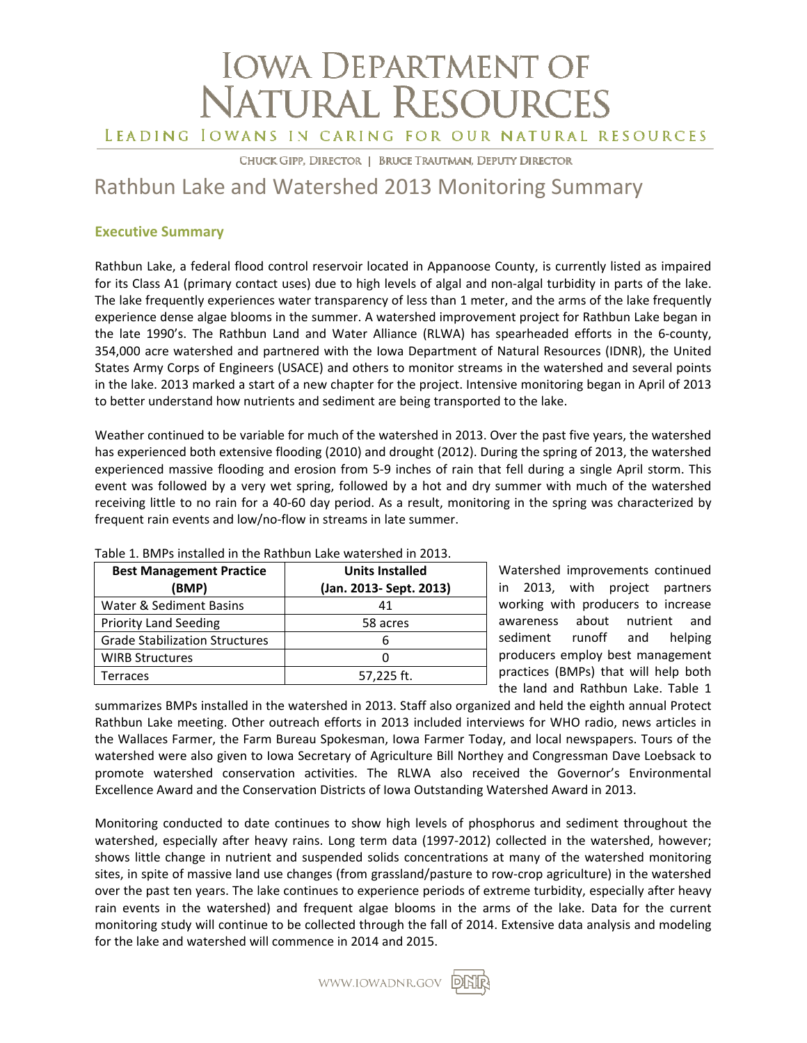# **IOWA DEPARTMENT OF NATURAL RESOURCES** LEADING IOWANS IN CARING FOR OUR NATURAL RESOURCES

CHUCK GIPP, DIRECTOR | BRUCE TRAUTMAN, DEPUTY DIRECTOR

## Rathbun Lake and Watershed 2013 Monitoring Summary

### **Executive Summary**

Rathbun Lake, a federal flood control reservoir located in Appanoose County, is currently listed as impaired for its Class A1 (primary contact uses) due to high levels of algal and non‐algal turbidity in parts of the lake. The lake frequently experiences water transparency of less than 1 meter, and the arms of the lake frequently experience dense algae blooms in the summer. A watershed improvement project for Rathbun Lake began in the late 1990's. The Rathbun Land and Water Alliance (RLWA) has spearheaded efforts in the 6‐county, 354,000 acre watershed and partnered with the Iowa Department of Natural Resources (IDNR), the United States Army Corps of Engineers (USACE) and others to monitor streams in the watershed and several points in the lake. 2013 marked a start of a new chapter for the project. Intensive monitoring began in April of 2013 to better understand how nutrients and sediment are being transported to the lake.

Weather continued to be variable for much of the watershed in 2013. Over the past five years, the watershed has experienced both extensive flooding (2010) and drought (2012). During the spring of 2013, the watershed experienced massive flooding and erosion from 5‐9 inches of rain that fell during a single April storm. This event was followed by a very wet spring, followed by a hot and dry summer with much of the watershed receiving little to no rain for a 40‐60 day period. As a result, monitoring in the spring was characterized by frequent rain events and low/no‐flow in streams in late summer.

| <b>Best Management Practice</b><br>(BMP) | <b>Units Installed</b><br>(Jan. 2013- Sept. 2013) |  |  |
|------------------------------------------|---------------------------------------------------|--|--|
| Water & Sediment Basins                  | 41                                                |  |  |
| <b>Priority Land Seeding</b>             | 58 acres                                          |  |  |
| <b>Grade Stabilization Structures</b>    |                                                   |  |  |
| <b>WIRB Structures</b>                   |                                                   |  |  |
| Terraces                                 | 57,225 ft.                                        |  |  |

Table 1. BMPs installed in the Rathbun Lake watershed in 2013.

Watershed improvements continued in 2013, with project partners working with producers to increase awareness about nutrient and sediment runoff and helping producers employ best management practices (BMPs) that will help both the land and Rathbun Lake. Table 1

summarizes BMPs installed in the watershed in 2013. Staff also organized and held the eighth annual Protect Rathbun Lake meeting. Other outreach efforts in 2013 included interviews for WHO radio, news articles in the Wallaces Farmer, the Farm Bureau Spokesman, Iowa Farmer Today, and local newspapers. Tours of the watershed were also given to Iowa Secretary of Agriculture Bill Northey and Congressman Dave Loebsack to promote watershed conservation activities. The RLWA also received the Governor's Environmental Excellence Award and the Conservation Districts of Iowa Outstanding Watershed Award in 2013.

Monitoring conducted to date continues to show high levels of phosphorus and sediment throughout the watershed, especially after heavy rains. Long term data (1997-2012) collected in the watershed, however; shows little change in nutrient and suspended solids concentrations at many of the watershed monitoring sites, in spite of massive land use changes (from grassland/pasture to row‐crop agriculture) in the watershed over the past ten years. The lake continues to experience periods of extreme turbidity, especially after heavy rain events in the watershed) and frequent algae blooms in the arms of the lake. Data for the current monitoring study will continue to be collected through the fall of 2014. Extensive data analysis and modeling for the lake and watershed will commence in 2014 and 2015.

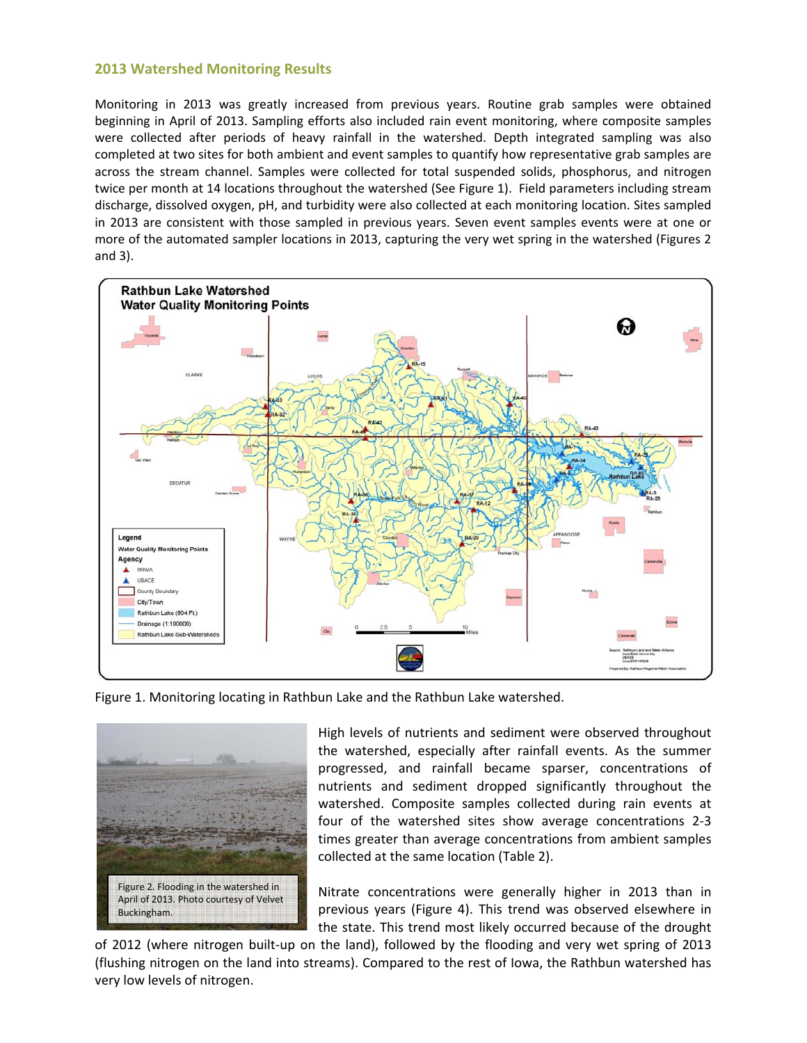#### **2013 Watershed Monitoring Results**

Monitoring in 2013 was greatly increased from previous years. Routine grab samples were obtained beginning in April of 2013. Sampling efforts also included rain event monitoring, where composite samples were collected after periods of heavy rainfall in the watershed. Depth integrated sampling was also completed at two sites for both ambient and event samples to quantify how representative grab samples are across the stream channel. Samples were collected for total suspended solids, phosphorus, and nitrogen twice per month at 14 locations throughout the watershed (See Figure 1). Field parameters including stream discharge, dissolved oxygen, pH, and turbidity were also collected at each monitoring location. Sites sampled in 2013 are consistent with those sampled in previous years. Seven event samples events were at one or more of the automated sampler locations in 2013, capturing the very wet spring in the watershed (Figures 2 and 3).



Figure 1. Monitoring locating in Rathbun Lake and the Rathbun Lake watershed.



High levels of nutrients and sediment were observed throughout the watershed, especially after rainfall events. As the summer progressed, and rainfall became sparser, concentrations of nutrients and sediment dropped significantly throughout the watershed. Composite samples collected during rain events at four of the watershed sites show average concentrations 2‐3 times greater than average concentrations from ambient samples collected at the same location (Table 2).

Nitrate concentrations were generally higher in 2013 than in previous years (Figure 4). This trend was observed elsewhere in the state. This trend most likely occurred because of the drought

of 2012 (where nitrogen built‐up on the land), followed by the flooding and very wet spring of 2013 (flushing nitrogen on the land into streams). Compared to the rest of Iowa, the Rathbun watershed has very low levels of nitrogen.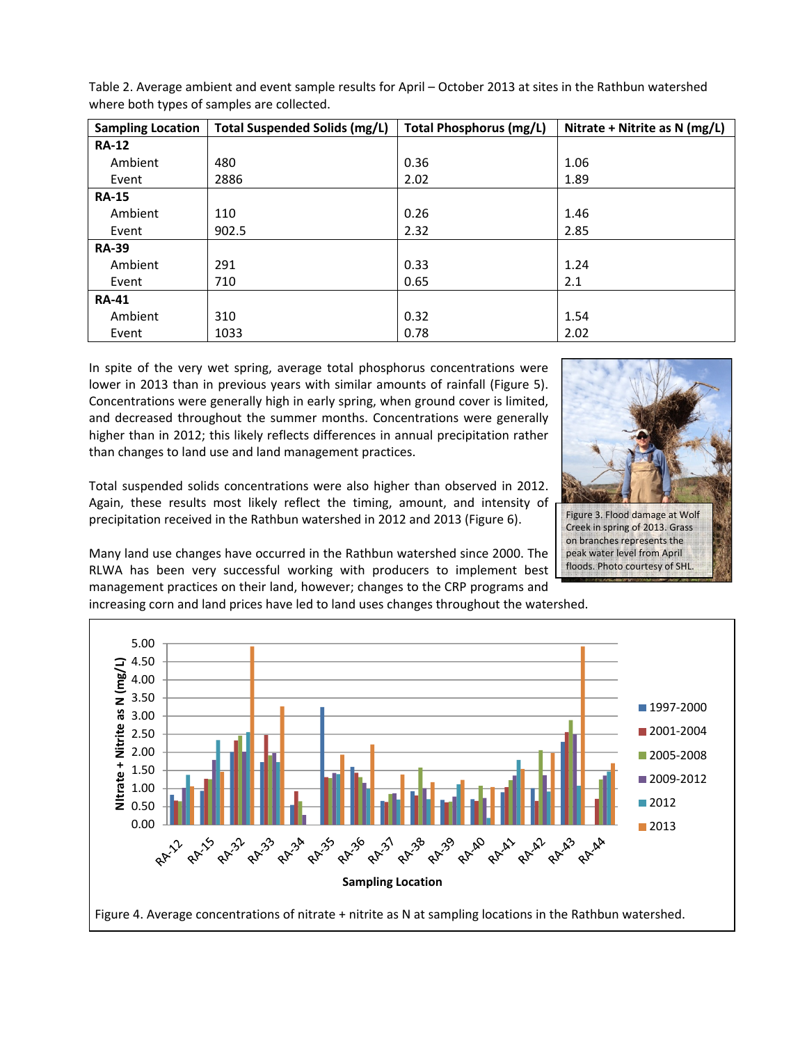| <b>Sampling Location</b> | Total Suspended Solids (mg/L) | <b>Total Phosphorus (mg/L)</b> | Nitrate + Nitrite as N (mg/L) |  |
|--------------------------|-------------------------------|--------------------------------|-------------------------------|--|
| <b>RA-12</b>             |                               |                                |                               |  |
| Ambient                  | 480                           | 0.36                           | 1.06                          |  |
| Event                    | 2886                          | 2.02                           | 1.89                          |  |
| <b>RA-15</b>             |                               |                                |                               |  |
| Ambient                  | 110                           | 0.26                           | 1.46                          |  |
| Event                    | 902.5                         | 2.32                           | 2.85                          |  |
| <b>RA-39</b>             |                               |                                |                               |  |
| Ambient                  | 291                           | 0.33                           | 1.24                          |  |
| Event                    | 710                           | 0.65                           | 2.1                           |  |
| <b>RA-41</b>             |                               |                                |                               |  |
| Ambient                  | 310                           | 0.32                           | 1.54                          |  |
| Event                    | 1033                          | 0.78                           | 2.02                          |  |

Table 2. Average ambient and event sample results for April – October 2013 at sites in the Rathbun watershed where both types of samples are collected.

In spite of the very wet spring, average total phosphorus concentrations were lower in 2013 than in previous years with similar amounts of rainfall (Figure 5). Concentrations were generally high in early spring, when ground cover is limited, and decreased throughout the summer months. Concentrations were generally higher than in 2012; this likely reflects differences in annual precipitation rather than changes to land use and land management practices.

Total suspended solids concentrations were also higher than observed in 2012. Again, these results most likely reflect the timing, amount, and intensity of precipitation received in the Rathbun watershed in 2012 and 2013 (Figure 6).

Many land use changes have occurred in the Rathbun watershed since 2000. The RLWA has been very successful working with producers to implement best management practices on their land, however; changes to the CRP programs and

increasing corn and land prices have led to land uses changes throughout the watershed.





Creek in spring of 2013. Grass on branches represents the peak water level from April floods. Photo courtesy of SHL.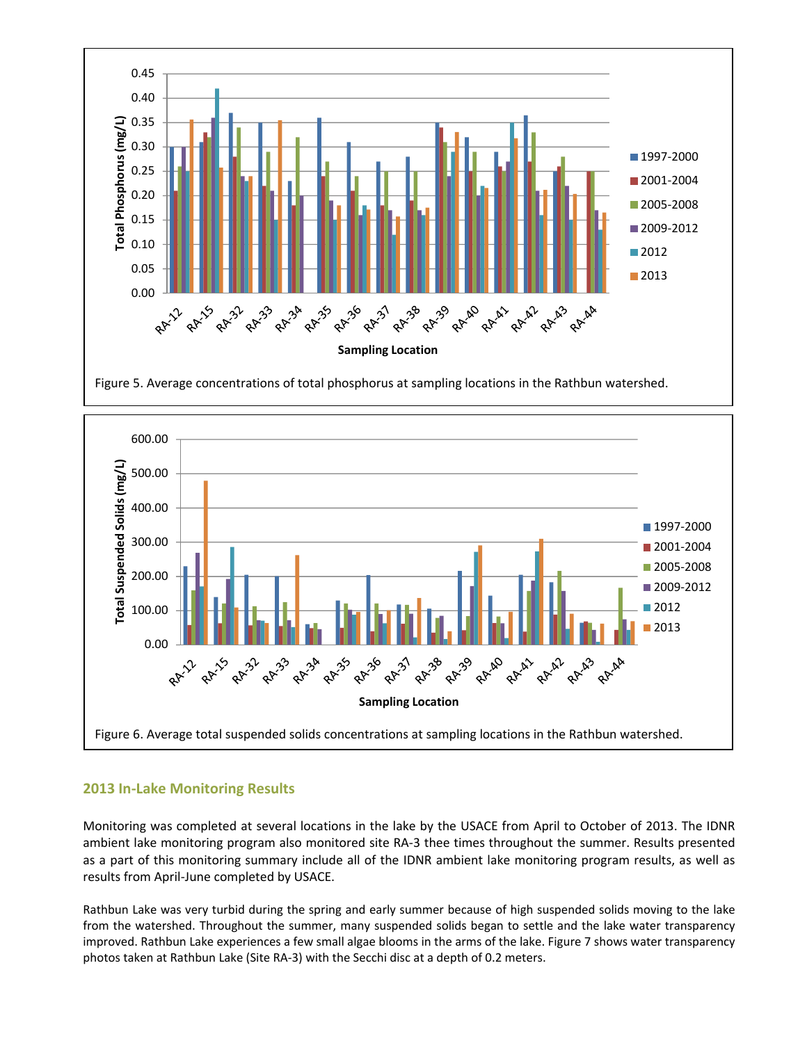



### **2013 In‐Lake Monitoring Results**

Monitoring was completed at several locations in the lake by the USACE from April to October of 2013. The IDNR ambient lake monitoring program also monitored site RA‐3 thee times throughout the summer. Results presented as a part of this monitoring summary include all of the IDNR ambient lake monitoring program results, as well as results from April‐June completed by USACE.

Rathbun Lake was very turbid during the spring and early summer because of high suspended solids moving to the lake from the watershed. Throughout the summer, many suspended solids began to settle and the lake water transparency improved. Rathbun Lake experiences a few small algae blooms in the arms of the lake. Figure 7 shows water transparency photos taken at Rathbun Lake (Site RA‐3) with the Secchi disc at a depth of 0.2 meters.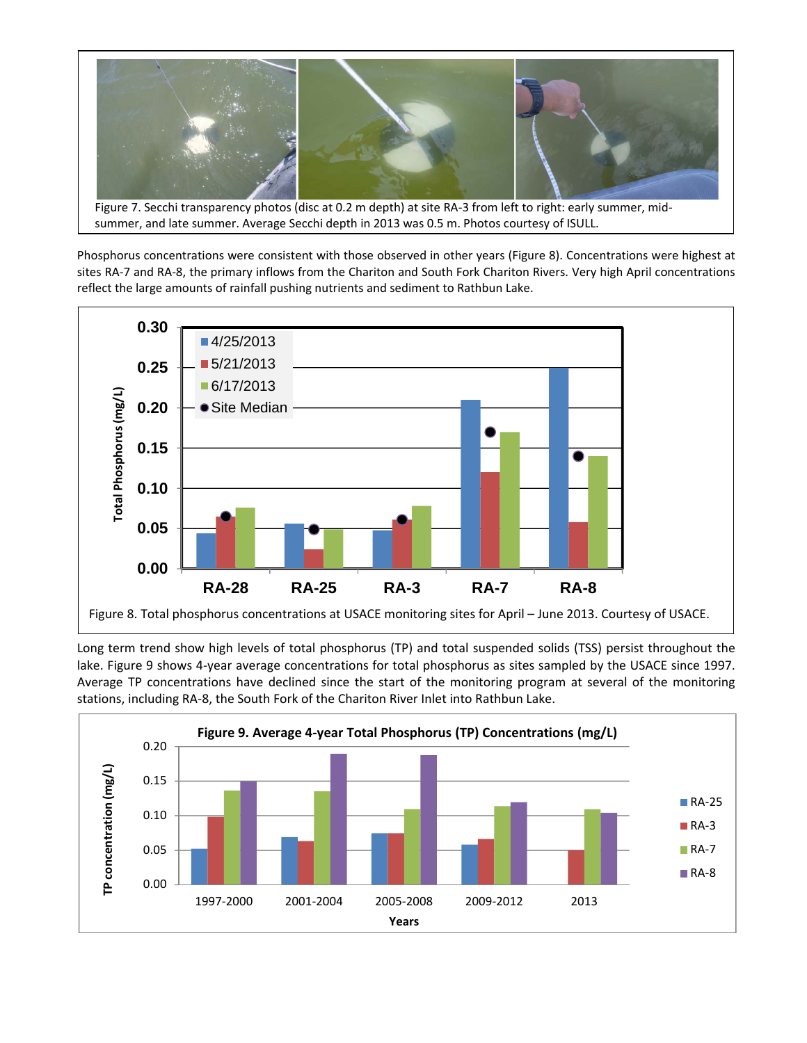

Phosphorus concentrations were consistent with those observed in other years (Figure 8). Concentrations were highest at sites RA‐7 and RA‐8, the primary inflows from the Chariton and South Fork Chariton Rivers. Very high April concentrations



Long term trend show high levels of total phosphorus (TP) and total suspended solids (TSS) persist throughout the lake. Figure 9 shows 4‐year average concentrations for total phosphorus as sites sampled by the USACE since 1997. Average TP concentrations have declined since the start of the monitoring program at several of the monitoring stations, including RA‐8, the South Fork of the Chariton River Inlet into Rathbun Lake.

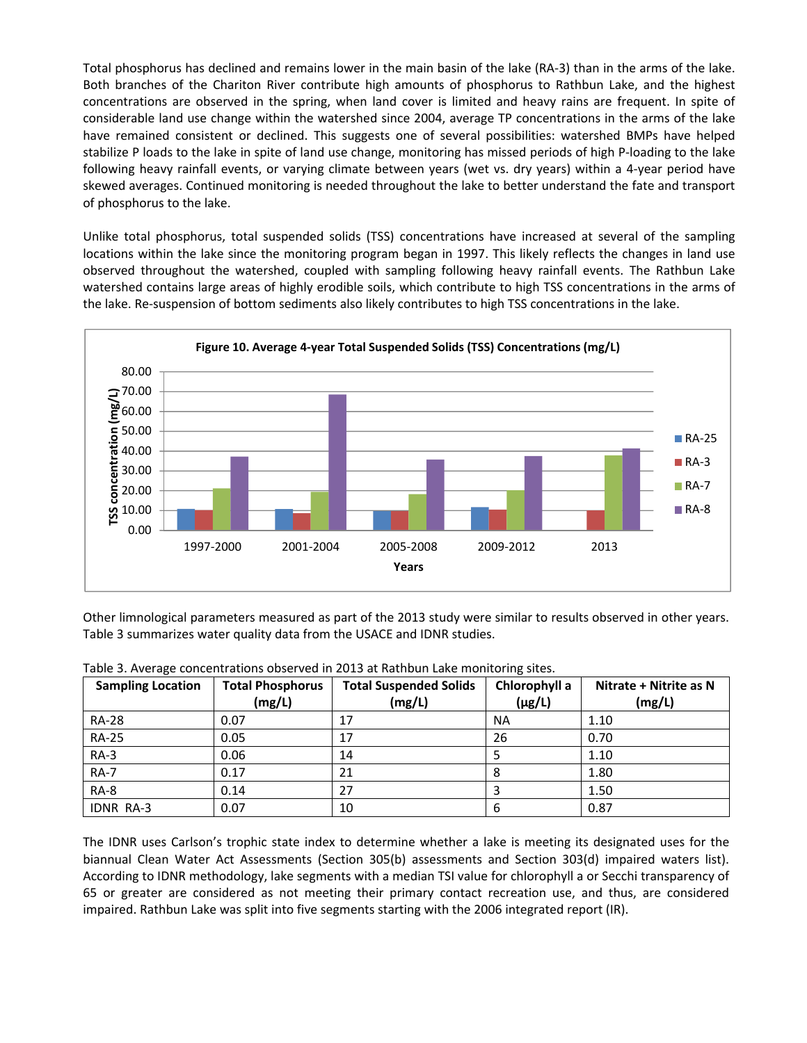Total phosphorus has declined and remains lower in the main basin of the lake (RA‐3) than in the arms of the lake. Both branches of the Chariton River contribute high amounts of phosphorus to Rathbun Lake, and the highest concentrations are observed in the spring, when land cover is limited and heavy rains are frequent. In spite of considerable land use change within the watershed since 2004, average TP concentrations in the arms of the lake have remained consistent or declined. This suggests one of several possibilities: watershed BMPs have helped stabilize P loads to the lake in spite of land use change, monitoring has missed periods of high P‐loading to the lake following heavy rainfall events, or varying climate between years (wet vs. dry years) within a 4‐year period have skewed averages. Continued monitoring is needed throughout the lake to better understand the fate and transport of phosphorus to the lake.

Unlike total phosphorus, total suspended solids (TSS) concentrations have increased at several of the sampling locations within the lake since the monitoring program began in 1997. This likely reflects the changes in land use observed throughout the watershed, coupled with sampling following heavy rainfall events. The Rathbun Lake watershed contains large areas of highly erodible soils, which contribute to high TSS concentrations in the arms of the lake. Re-suspension of bottom sediments also likely contributes to high TSS concentrations in the lake.



Other limnological parameters measured as part of the 2013 study were similar to results observed in other years. Table 3 summarizes water quality data from the USACE and IDNR studies.

| <b>Sampling Location</b> | <b>Total Phosphorus</b><br>(mg/L) | <b>Total Suspended Solids</b><br>(mg/L) | Chlorophyll a<br>$(\mu g/L)$ | Nitrate + Nitrite as N<br>(mg/L) |
|--------------------------|-----------------------------------|-----------------------------------------|------------------------------|----------------------------------|
| <b>RA-28</b>             | 0.07                              | 17                                      | <b>NA</b>                    | 1.10                             |
| <b>RA-25</b>             | 0.05                              | 17                                      | 26                           | 0.70                             |
| $RA-3$                   | 0.06                              | 14                                      |                              | 1.10                             |
| <b>RA-7</b>              | 0.17                              | 21                                      | 8                            | 1.80                             |
| RA-8                     | 0.14                              | 27                                      |                              | 1.50                             |
| <b>IDNR RA-3</b>         | 0.07                              | 10                                      | 6                            | 0.87                             |

Table 3. Average concentrations observed in 2013 at Rathbun Lake monitoring sites.

The IDNR uses Carlson's trophic state index to determine whether a lake is meeting its designated uses for the biannual Clean Water Act Assessments (Section 305(b) assessments and Section 303(d) impaired waters list). According to IDNR methodology, lake segments with a median TSI value for chlorophyll a or Secchi transparency of 65 or greater are considered as not meeting their primary contact recreation use, and thus, are considered impaired. Rathbun Lake was split into five segments starting with the 2006 integrated report (IR).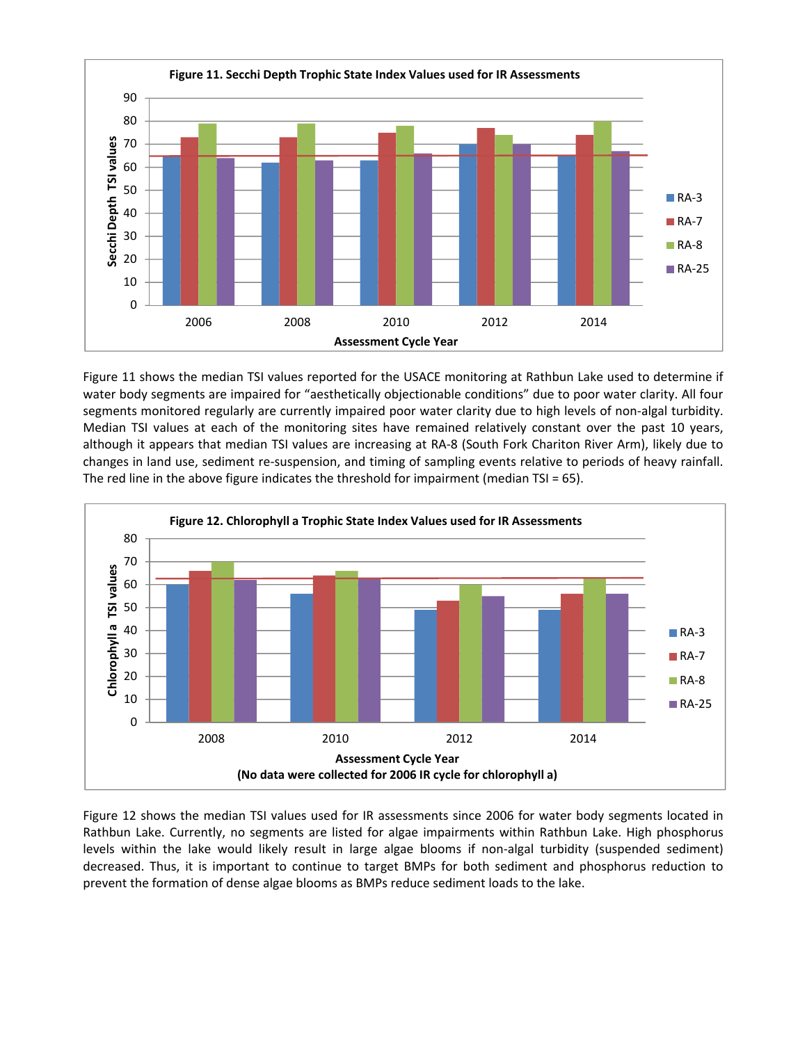

Figure 11 shows the median TSI values reported for the USACE monitoring at Rathbun Lake used to determine if water body segments are impaired for "aesthetically objectionable conditions" due to poor water clarity. All four segments monitored regularly are currently impaired poor water clarity due to high levels of non-algal turbidity. Median TSI values at each of the monitoring sites have remained relatively constant over the past 10 years, although it appears that median TSI values are increasing at RA‐8 (South Fork Chariton River Arm), likely due to changes in land use, sediment re‐suspension, and timing of sampling events relative to periods of heavy rainfall. The red line in the above figure indicates the threshold for impairment (median TSI = 65).



Figure 12 shows the median TSI values used for IR assessments since 2006 for water body segments located in Rathbun Lake. Currently, no segments are listed for algae impairments within Rathbun Lake. High phosphorus levels within the lake would likely result in large algae blooms if non-algal turbidity (suspended sediment) decreased. Thus, it is important to continue to target BMPs for both sediment and phosphorus reduction to prevent the formation of dense algae blooms as BMPs reduce sediment loads to the lake.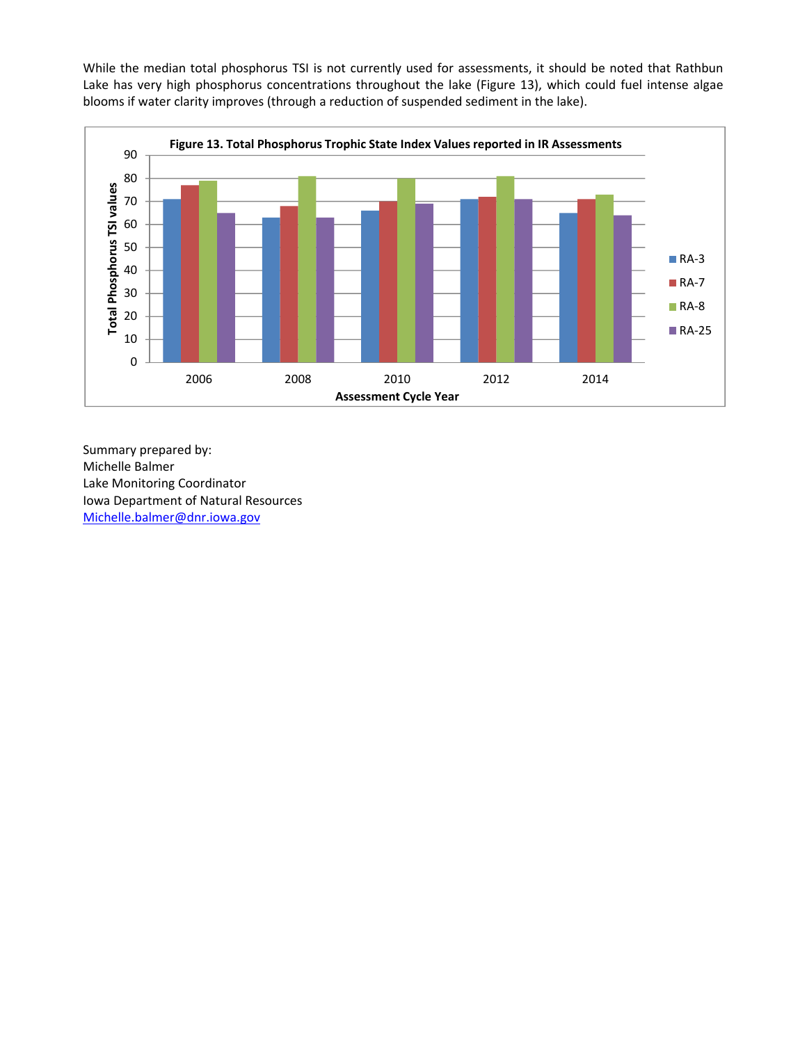While the median total phosphorus TSI is not currently used for assessments, it should be noted that Rathbun Lake has very high phosphorus concentrations throughout the lake (Figure 13), which could fuel intense algae blooms if water clarity improves (through a reduction of suspended sediment in the lake).



Summary prepared by: Michelle Balmer Lake Monitoring Coordinator Iowa Department of Natural Resources Michelle.balmer@dnr.iowa.gov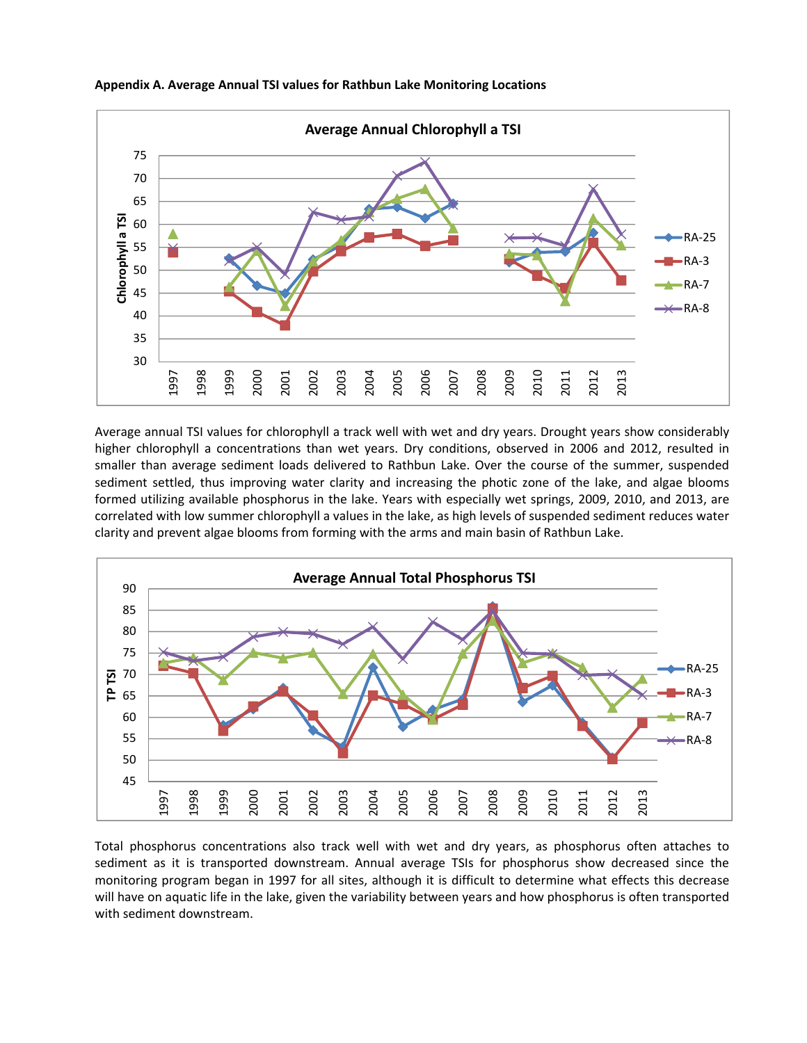

**Appendix A. Average Annual TSI values for Rathbun Lake Monitoring Locations**

Average annual TSI values for chlorophyll a track well with wet and dry years. Drought years show considerably higher chlorophyll a concentrations than wet years. Dry conditions, observed in 2006 and 2012, resulted in smaller than average sediment loads delivered to Rathbun Lake. Over the course of the summer, suspended sediment settled, thus improving water clarity and increasing the photic zone of the lake, and algae blooms formed utilizing available phosphorus in the lake. Years with especially wet springs, 2009, 2010, and 2013, are correlated with low summer chlorophyll a values in the lake, as high levels of suspended sediment reduces water clarity and prevent algae blooms from forming with the arms and main basin of Rathbun Lake.



Total phosphorus concentrations also track well with wet and dry years, as phosphorus often attaches to sediment as it is transported downstream. Annual average TSIs for phosphorus show decreased since the monitoring program began in 1997 for all sites, although it is difficult to determine what effects this decrease will have on aquatic life in the lake, given the variability between years and how phosphorus is often transported with sediment downstream.